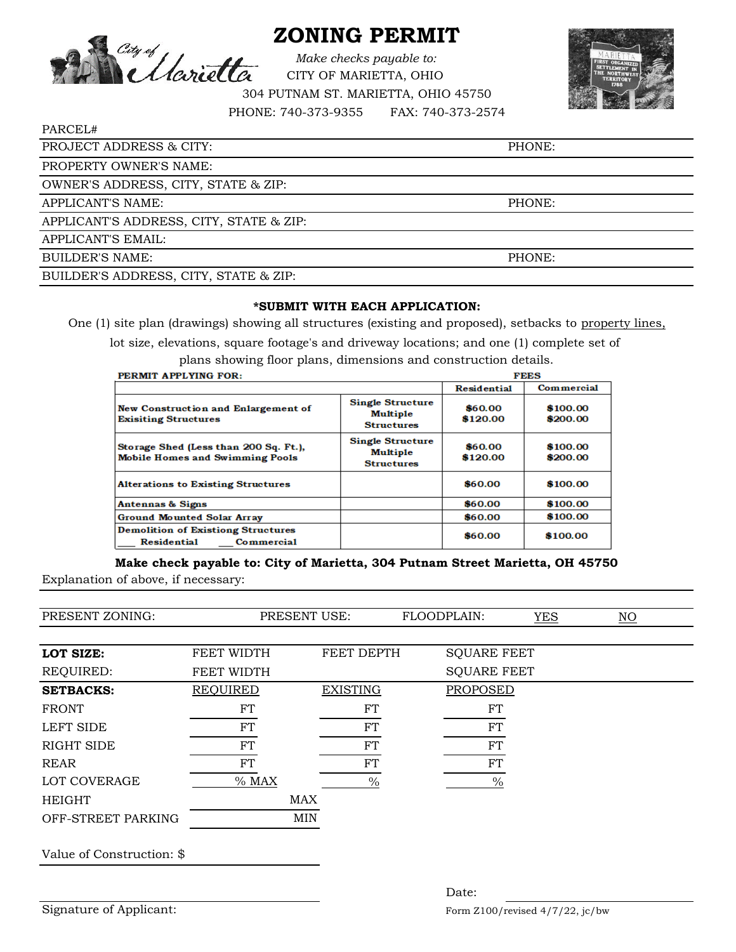

## **ZONING PERMIT**

CITY OF MARIETTA, OHIO 304 PUTNAM ST. MARIETTA, OHIO 45750 *Make checks payable to:*

PHONE: 740-373-9355 FAX: 740-373-2574



| PARCEL#                                 |        |
|-----------------------------------------|--------|
| <b>PROJECT ADDRESS &amp; CITY:</b>      | PHONE: |
| PROPERTY OWNER'S NAME:                  |        |
| OWNER'S ADDRESS, CITY, STATE & ZIP:     |        |
| APPLICANT'S NAME:                       | PHONE: |
| APPLICANT'S ADDRESS, CITY, STATE & ZIP: |        |
| APPLICANT'S EMAIL:                      |        |
| <b>BUILDER'S NAME:</b>                  | PHONE: |
|                                         |        |

BUILDER'S ADDRESS, CITY, STATE & ZIP:

## **\*SUBMIT WITH EACH APPLICATION:**

One (1) site plan (drawings) showing all structures (existing and proposed), setbacks to property lines,

lot size, elevations, square footage's and driveway locations; and one (1) complete set of

plans showing floor plans, dimensions and construction details. **DEDMIT ADDITION BOD.** 

| FERMILL AFFLITING FOR:                                                          | <b>FEBRU</b>                                             |                     |                      |
|---------------------------------------------------------------------------------|----------------------------------------------------------|---------------------|----------------------|
|                                                                                 |                                                          | <b>Residential</b>  | <b>Commercial</b>    |
| New Construction and Enlargement of<br><b>Exisiting Structures</b>              | <b>Single Structure</b><br>Multiple<br><b>Structures</b> | \$60.00<br>\$120.00 | \$100.00<br>\$200.00 |
| Storage Shed (Less than 200 Sq. Ft.),<br><b>Mobile Homes and Swimming Pools</b> | <b>Single Structure</b><br>Multiple<br><b>Structures</b> | \$60.00<br>\$120.00 | \$100.00<br>\$200.00 |
| <b>Alterations to Existing Structures</b>                                       |                                                          | \$60.00             | \$100.00             |
| Antennas & Signs                                                                |                                                          | \$60.00             | \$100.00             |
| Ground Mounted Solar Array                                                      |                                                          | \$60.00             | \$100.00             |
| <b>Demolition of Existiong Structures</b><br><b>Residential</b><br>Commercial   |                                                          | \$60.00             | \$100.00             |

**Make check payable to: City of Marietta, 304 Putnam Street Marietta, OH 45750**

Explanation of above, if necessary:

| PRESENT ZONING:           | PRESENT USE:    |                 | FLOODPLAIN:<br><b>YES</b> |  | $\underline{NO}$ |
|---------------------------|-----------------|-----------------|---------------------------|--|------------------|
|                           |                 |                 |                           |  |                  |
| LOT SIZE:                 | FEET WIDTH      | FEET DEPTH      | <b>SQUARE FEET</b>        |  |                  |
| REQUIRED:                 | FEET WIDTH      |                 | <b>SQUARE FEET</b>        |  |                  |
| <b>SETBACKS:</b>          | <b>REQUIRED</b> | <b>EXISTING</b> | <b>PROPOSED</b>           |  |                  |
| <b>FRONT</b>              | FT              | FT              | <b>FT</b>                 |  |                  |
| LEFT SIDE                 | <b>FT</b>       | <b>FT</b>       | <b>FT</b>                 |  |                  |
| RIGHT SIDE                | <b>FT</b>       | FT              | FT                        |  |                  |
| <b>REAR</b>               | <b>FT</b>       | <b>FT</b>       | <b>FT</b>                 |  |                  |
| LOT COVERAGE              | $\%$ MAX        | $\frac{0}{0}$   | $\frac{0}{0}$             |  |                  |
| <b>HEIGHT</b>             | <b>MAX</b>      |                 |                           |  |                  |
| OFF-STREET PARKING        | <b>MIN</b>      |                 |                           |  |                  |
| Value of Construction: \$ |                 |                 |                           |  |                  |
|                           |                 |                 |                           |  |                  |

Signature of Applicant:

**DDDG**